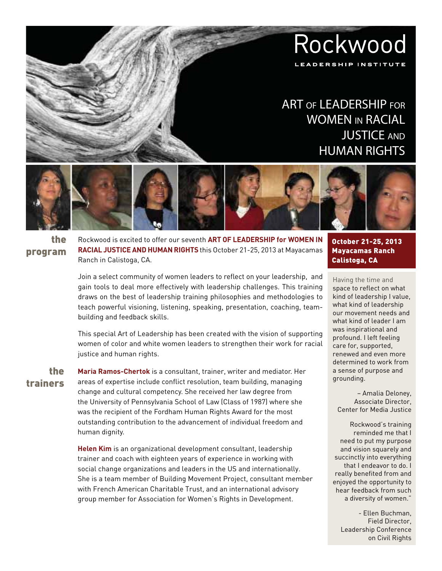# Rockwood LEADERSHIP INSTITUTE

## ART of LEADERSHIP for WOMEN in RACIAL **JUSTICE AND** HUMAN RIGHTS



the program Rockwood is excited to offer our seventh **Art of Leadership for Women in Racial Justice and Human Rights** this October 21-25, 2013 at Mayacamas Ranch in Calistoga, CA.

Join a select community of women leaders to reflect on your leadership, and gain tools to deal more effectively with leadership challenges. This training draws on the best of leadership training philosophies and methodologies to teach powerful visioning, listening, speaking, presentation, coaching, teambuilding and feedback skills.

This special Art of Leadership has been created with the vision of supporting women of color and white women leaders to strengthen their work for racial justice and human rights.

the trainers

**Maria Ramos-Chertok** is a consultant, trainer, writer and mediator. Her areas of expertise include conflict resolution, team building, managing change and cultural competency. She received her law degree from the University of Pennsylvania School of Law (Class of 1987) where she was the recipient of the Fordham Human Rights Award for the most outstanding contribution to the advancement of individual freedom and human dignity.

**Helen Kim** is an organizational development consultant, leadership trainer and coach with eighteen years of experience in working with social change organizations and leaders in the US and internationally. She is a team member of Building Movement Project, consultant member with French American Charitable Trust, and an international advisory group member for Association for Women's Rights in Development.

October 21-25, 2013 Mayacamas Ranch Calistoga, CA

Having the time and space to reflect on what kind of leadership I value, what kind of leadership our movement needs and what kind of leader I am was inspirational and profound. I left feeling care for, supported, renewed and even more determined to work from a sense of purpose and grounding.

– Amalia Deloney, Associate Director, Center for Media Justice

Rockwood's training reminded me that I need to put my purpose and vision squarely and succinctly into everything that I endeavor to do. I really benefited from and enjoyed the opportunity to hear feedback from such a diversity of women."

- Ellen Buchman, Field Director, Leadership Conference on Civil Rights